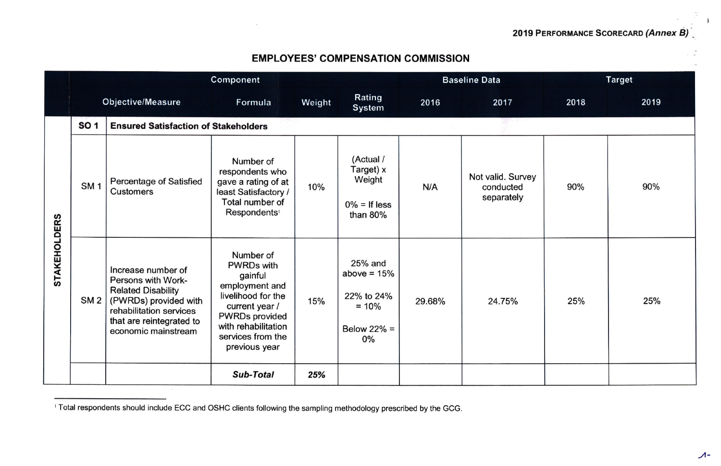## EMPLOYEES' COMPENSATION COMMISSION

|                     | Component   |                                                                                                                                                                              |                                                                                                                                                                                           |        |                                                                           | <b>Baseline Data</b> |                                              | <b>Target</b> |      |
|---------------------|-------------|------------------------------------------------------------------------------------------------------------------------------------------------------------------------------|-------------------------------------------------------------------------------------------------------------------------------------------------------------------------------------------|--------|---------------------------------------------------------------------------|----------------------|----------------------------------------------|---------------|------|
|                     |             | Objective/Measure                                                                                                                                                            | Formula                                                                                                                                                                                   | Weight | Rating<br><b>System</b>                                                   | 2016                 | 2017                                         | 2018          | 2019 |
| <b>STAKEHOLDERS</b> | <b>SO 1</b> | <b>Ensured Satisfaction of Stakeholders</b>                                                                                                                                  |                                                                                                                                                                                           |        |                                                                           |                      |                                              |               |      |
|                     | <b>SM1</b>  | Percentage of Satisfied<br><b>Customers</b>                                                                                                                                  | Number of<br>respondents who<br>gave a rating of at<br>least Satisfactory /<br>Total number of<br>Respondents <sup>1</sup>                                                                | 10%    | (Actual /<br>Target) x<br>Weight<br>$0\% =$ If less<br>than $80%$         | N/A                  | Not valid. Survey<br>conducted<br>separately | 90%           | 90%  |
|                     | SM2         | Increase number of<br>Persons with Work-<br><b>Related Disability</b><br>(PWRDs) provided with<br>rehabilitation services<br>that are reintegrated to<br>economic mainstream | Number of<br><b>PWRDs with</b><br>gainful<br>employment and<br>livelihood for the<br>current year /<br><b>PWRDs provided</b><br>with rehabilitation<br>services from the<br>previous year | 15%    | 25% and<br>above = $15%$<br>22% to 24%<br>$= 10%$<br>Below $22\%$ =<br>0% | 29.68%               | 24.75%                                       | 25%           | 25%  |
|                     |             |                                                                                                                                                                              | <b>Sub-Total</b>                                                                                                                                                                          | 25%    |                                                                           |                      |                                              |               |      |

<sup>&</sup>lt;sup>1</sup> Total respondents should include ECC and OSHC clients following the sampling methodology prescribed by the GCG.

I